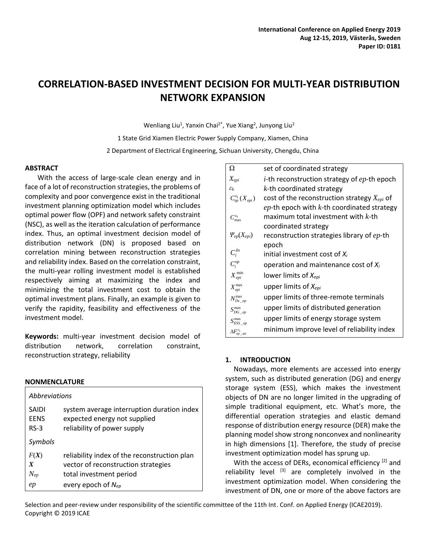# **CORRELATION-BASED INVESTMENT DECISION FOR MULTI-YEAR DISTRIBUTION NETWORK EXPANSION**

Wenliang Liu<sup>1</sup>, Yanxin Chai<sup>2\*</sup>, Yue Xiang<sup>2</sup>, Junyong Liu<sup>2</sup>

1 State Grid Xiamen Electric Power Supply Company, Xiamen, China 2 Department of Electrical Engineering, Sichuan University, Chengdu, China

# **ABSTRACT**

With the access of large-scale clean energy and in face of a lot of reconstruction strategies, the problems of complexity and poor convergence exist in the traditional investment planning optimization model which includes optimal power flow (OPF) and network safety constraint (NSC), as well as the iteration calculation of performance index. Thus, an optimal investment decision model of distribution network (DN) is proposed based on correlation mining between reconstruction strategies and reliability index. Based on the correlation constraint, the multi-year rolling investment model is established respectively aiming at maximizing the index and minimizing the total investment cost to obtain the optimal investment plans. Finally, an example is given to verify the rapidity, feasibility and effectiveness of the investment model.

**Keywords:** multi-year investment decision model of distribution network, correlation constraint, reconstruction strategy, reliability

# **NONMENCLATURE**

| Abbreviations    |                                              |  |  |  |
|------------------|----------------------------------------------|--|--|--|
| SAIDI            | system average interruption duration index   |  |  |  |
| <b>FENS</b>      | expected energy not supplied                 |  |  |  |
| $RS-3$           | reliability of power supply                  |  |  |  |
| Symbols          |                                              |  |  |  |
| F(X)             | reliability index of the reconstruction plan |  |  |  |
| $\boldsymbol{X}$ | vector of reconstruction strategies          |  |  |  |
| $N_{ep}$         | total investment period                      |  |  |  |
| ep               | every epoch of $N_{ep}$                      |  |  |  |

| Ω                                     | set of coordinated strategy                            |
|---------------------------------------|--------------------------------------------------------|
| $X_{epi}$                             | <i>i</i> -th reconstruction strategy of $ep$ -th epoch |
| $\varepsilon_k$                       | $k$ -th coordinated strategy                           |
| $C_{ep}^{\varepsilon_k}(X_{epi})$     | cost of the reconstruction strategy $X_{epi}$ of       |
|                                       | $ep$ -th epoch with $k$ -th coordinated strategy       |
| $C_{\text{max}}^{\varepsilon_k}$      | maximum total investment with $k$ -th                  |
|                                       | coordinated strategy                                   |
| $\Psi_{ep}(X_{epi})$                  | reconstruction strategies library of ep-th             |
|                                       | epoch                                                  |
| $C_i^{In}$                            | initial investment cost of $X_i$                       |
| $C_i^{op}$                            | operation and maintenance cost of $X_i$                |
| $X_{epi}^{min}$                       | lower limits of $X_{epi}$                              |
| $X_{epi}^{\max}$                      | upper limits of $X_{epi}$                              |
| $N_{Ds\;ep}^{\max}$                   | upper limits of three-remote terminals                 |
| $S_{DG\_ep}^{max}$                    | upper limits of distributed generation                 |
| $S_{ESS\_ep}^{max}$                   | upper limits of energy storage system                  |
| $\Delta\!F^{\varepsilon_k}_{ep\_set}$ | minimum improve level of reliability index             |

# **1. INTRODUCTION**

Nowadays, more elements are accessed into energy system, such as distributed generation (DG) and energy storage system (ESS), which makes the investment objects of DN are no longer limited in the upgrading of simple traditional equipment, etc. What's more, the differential operation strategies and elastic demand response of distribution energy resource (DER) make the planning model show strong nonconvex and nonlinearity in high dimensions [1]. Therefore, the study of precise investment optimization model has sprung up.

With the access of DERs, economical efficiency<sup>[2]</sup> and reliability level  $[3]$  are completely involved in the investment optimization model. When considering the investment of DN, one or more of the above factors are

Selection and peer-review under responsibility of the scientific committee of the 11th Int. Conf. on Applied Energy (ICAE2019). Copyright © 2019 ICAE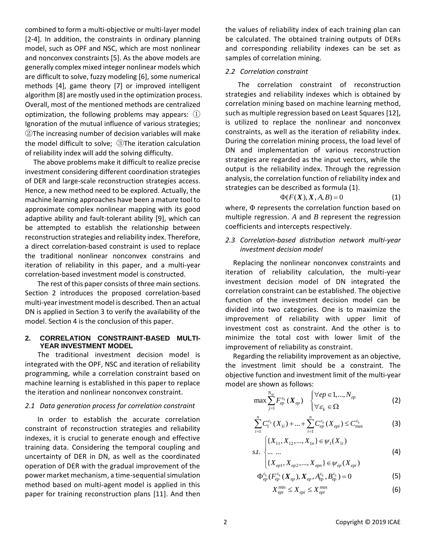combined to form a multi-objective or multi-layer model [2-4]. In addition, the constraints in ordinary planning model, such as OPF and NSC, which are most nonlinear and nonconvex constraints [5]. As the above models are generally complex mixed integer nonlinear models which are difficult to solve, fuzzy modeling [6], some numerical methods [4], game theory [7] or improved intelligent algorithm [8] are mostly used in the optimization process. Overall, most of the mentioned methods are centralized optimization, the following problems may appears: ① Ignoration of the mutual influence of various strategies; ②The increasing number of decision variables will make the model difficult to solve; ③The iteration calculation of reliability index will add the solving difficulty.

The above problems make it difficult to realize precise investment considering different coordination strategies of DER and large-scale reconstruction strategies access. Hence, a new method need to be explored. Actually, the machine learning approaches have been a mature tool to approximate complex nonlinear mapping with its good adaptive ability and fault-tolerant ability [9], which can be attempted to establish the relationship between reconstruction strategies and reliability index. Therefore, a direct correlation-based constraint is used to replace the traditional nonlinear nonconvex constrains and iteration of reliability in this paper, and a multi-year correlation-based investment model is constructed.

The rest of this paper consists of three main sections. Section 2 introduces the proposed correlation-based multi-year investment model is described. Then an actual DN is applied in Section 3 to verify the availability of the model. Section 4 is the conclusion of this paper.

# **2. CORRELATION CONSTRAINT-BASED MULTI-YEAR INVESTMENT MODEL**

The traditional investment decision model is integrated with the OPF, NSC and iteration of reliability programming, while a correlation constraint based on machine learning is established in this paper to replace the iteration and nonlinear nonconvex constraint.

### *2.1 Data generation process for correlation constraint*

In order to establish the accurate correlation constraint of reconstruction strategies and reliability indexes, it is crucial to generate enough and effective training data. Considering the temporal coupling and uncertainty of DER in DN, as well as the coordinated operation of DER with the gradual improvement of the power market mechanism, a time-sequential simulation method based on multi-agent model is applied in this paper for training reconstruction plans [11]. And then the values of reliability index of each training plan can be calculated. The obtained training outputs of DERs and corresponding reliability indexes can be set as samples of correlation mining.

# *2.2 Correlation constraint*

The correlation constraint of reconstruction strategies and reliability indexes which is obtained by correlation mining based on machine learning method, such as multiple regression based on Least Squares [12], is utilized to replace the nonlinear and nonconvex constraints, as well as the iteration of reliability index. During the correlation mining process, the load level of DN and implementation of various reconstruction strategies are regarded as the input vectors, while the output is the reliability index. Through the regression analysis, the correlation function of reliability index and strategies can be described as formula (1).

$$
\Phi(F(X), X, A, B) = 0 \tag{1}
$$

where, Φ represents the correlation function based on multiple regression. *A* and *B* represent the regression coefficients and intercepts respectively.

# *2.3 Correlation-based distribution network multi-year investment decision model*

Replacing the nonlinear nonconvex constraints and iteration of reliability calculation, the multi-year investment decision model of DN integrated the correlation constraint can be established. The objective function of the investment decision model can be divided into two categories. One is to maximize the improvement of reliability with upper limit of investment cost as constraint. And the other is to minimize the total cost with lower limit of the improvement of reliability as constraint.

Regarding the reliability improvement as an objective, the investment limit should be a constraint. The objective function and investment limit of the multi-year model are shown as follows:

$$
\max \sum_{j=1}^{N_{ep}} F_{ep}^{\varepsilon_k} (X_{ep}) \begin{cases} \forall ep \in 1,..., N_{ep} \\ \forall \varepsilon_k \in \Omega \end{cases}
$$
 (2)

$$
\sum_{i=1}^{n} C_1^{\varepsilon_k} (X_{1i}) + \dots + \sum_{i=1}^{n} C_{ep}^{\varepsilon_k} (X_{epi}) \leq C_{\text{max}}^{\varepsilon_k}
$$
 (3)

$$
s.t. \begin{cases} \{X_{11}, X_{12}, ..., X_{1n}\} \in \psi_1(X_{1i}) \\ ... & ... \end{cases}
$$
(4)

$$
\begin{cases}\n\cdots & \cdots \\
\{X_{ep1}, X_{ep2}, \ldots, X_{epn}\} \in \psi_{ep}(X_{epi})\n\end{cases}
$$

$$
\Phi_{ep}^{\varepsilon_k}(F_{ep}^{\varepsilon_k}(X_{ep}), X_{ep}, A_{ep}^{\varepsilon_k}, B_{ep}^{\varepsilon_k}) = 0
$$
\n(5)

$$
X_{epi}^{\min} \le X_{epi} \le X_{epi}^{\max} \tag{6}
$$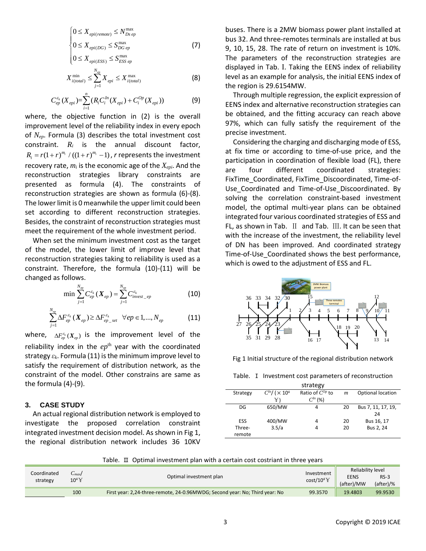$$
\begin{cases} 0 \le X_{epi(remote)} \le N_{Ds\,ep}^{\max} \\ 0 \le X_{epi(DG)} \le S_{DG\,ep}^{\max} \end{cases}
$$
 (7)

$$
0 \le X_{epi(ESS)} \le S_{ESS\,ep}^{\max}
$$

$$
X_{i(total)}^{\min} \le \sum_{j=1}^{N_{ep}} X_{epi} \le X_{i(total)}^{\max} \tag{8}
$$

$$
C_{ep}^{\varepsilon_k}(X_{epi}) = \sum_{i=1}^n (R_i C_i^{In}(X_{epi}) + C_i^{Op}(X_{epi}))
$$
 (9)

where, the objective function in (2) is the overall improvement level of the reliability index in every epoch of *Nep*. Formula (3) describes the total investment cost constraint. *R<sup>i</sup>* is the annual discount factor,  $R_i = r(1 + r)^{m_i} / ((1 + r)^{m_i} - 1)$ , *r* represents the investment recovery rate, *m<sup>i</sup>* is the economic age of the *Xepi*. And the reconstruction strategies library constraints are presented as formula (4). The constraints of reconstruction strategies are shown as formula (6)-(8). The lower limit is 0 meanwhile the upper limit could been set according to different reconstruction strategies. Besides, the constraint of reconstruction strategies must meet the requirement of the whole investment period.

When set the minimum investment cost as the target of the model, the lower limit of improve level that reconstruction strategies taking to reliability is used as a constraint. Therefore, the formula (10)-(11) will be changed as follows.

$$
\min \sum_{j=1}^{N_{ep}} C_{ep}^{\varepsilon_k} (\boldsymbol{X}_{ep}) = \sum_{j=1}^{N_{ep}} C_{invest\_ep}^{\varepsilon_k}
$$
(10)

$$
\sum_{j=1}^{N_{ep}} \Delta F_{ep}^{\varepsilon_k} \left( \boldsymbol{X}_{ep} \right) \geq \Delta F_{ep\_set}^{\varepsilon_k} \quad \forall ep \in 1, ..., N_{ep} \tag{11}
$$

where,  $\Delta F_{ep}^{\varepsilon_k}(X_{ep})$  is the improvement level of the reliability index in the  $ep<sup>th</sup>$  year with the coordinated strategy *εk*. Formula (11) is the minimum improve level to satisfy the requirement of distribution network, as the constraint of the model. Other constrains are same as the formula (4)-(9).

#### **3. CASE STUDY**

An actual regional distribution network is employed to investigate the proposed correlation constraint integrated investment decision model. As shown in Fig 1, the regional distribution network includes 36 10KV

buses. There is a 2MW biomass power plant installed at bus 32. And three-remotes terminals are installed at bus 9, 10, 15, 28. The rate of return on investment is 10%. The parameters of the reconstruction strategies are displayed in Tab. Ⅰ. Taking the EENS index of reliability level as an example for analysis, the initial EENS index of the region is 29.6154MW.

Through multiple regression, the explicit expression of EENS index and alternative reconstruction strategies can be obtained, and the fitting accuracy can reach above 97%, which can fully satisfy the requirement of the precise investment.

Considering the charging and discharging mode of ESS, at fix time or according to time-of-use price, and the participation in coordination of flexible load (FL), there are four different coordinated strategies: FixTime\_Coordinated, FixTime\_Discoordinated, Time-of-Use\_Coordinated and Time-of-Use\_Discoordinated. By solving the correlation constraint-based investment model, the optimal multi-year plans can be obtained integrated four various coordinated strategies of ESS and FL, as shown in Tab. Ⅱ and Tab. Ⅲ. It can be seen that with the increase of the investment, the reliability level of DN has been improved. And coordinated strategy Time-of-Use\_Coordinated shows the best performance, which is owed to the adjustment of ESS and FL.



Fig 1 Initial structure of the regional distribution network

Table. I Investment cost parameters of reconstruction

| strategy   |                                      |                      |                  |                    |  |  |
|------------|--------------------------------------|----------------------|------------------|--------------------|--|--|
| Strategy   | $C^{ln}/$ ( $\times$ 10 <sup>4</sup> | Ratio of $C^{Op}$ to | $\boldsymbol{m}$ | Optional location  |  |  |
|            | ¥)                                   | $C^{ln}$ (%)         |                  |                    |  |  |
| DG         | 650/MW                               | 4                    | 20               | Bus 7, 11, 17, 19, |  |  |
|            |                                      |                      |                  | 24                 |  |  |
| <b>ESS</b> | 400/MW                               | 4                    | 20               | Bus 16, 17         |  |  |
| Three-     | 3.5/a                                |                      | 20               | Bus 2, 24          |  |  |
| remote     |                                      |                      |                  |                    |  |  |

Table. Ⅱ Optimal investment plan with a certain cost costriant in three years

| Coordinated<br>strategy | $-max$<br>$10^4$ $Y$ | Optimal investment plan                                                     | Investment                 | Reliability level         |                     |
|-------------------------|----------------------|-----------------------------------------------------------------------------|----------------------------|---------------------------|---------------------|
|                         |                      |                                                                             | $cost/10^4$ $\overline{Y}$ | <b>EENS</b><br>(after)/MW | $RS-3$<br>(after)/% |
|                         | 100                  | First year: 2,24-three-remote, 24-0.96MWDG; Second year: No; Third year: No | 99.3570                    | 19.4803                   | 99.9530             |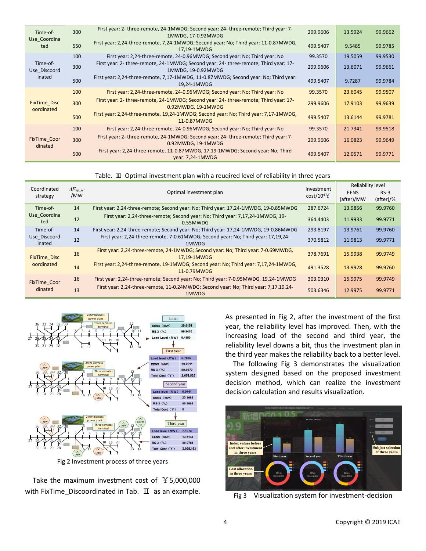| Time-of-<br>Use Coordina<br>ted    | 300 | First year: 2- three-remote, 24-1MWDG; Second year: 24- three-remote; Third year: 7-<br>1MWDG, 17-0.92MWDG  | 299.9606 | 13.5924 | 99.9662 |
|------------------------------------|-----|-------------------------------------------------------------------------------------------------------------|----------|---------|---------|
|                                    | 550 | First year: 2,24-three-remote, 7,24-1MWDG; Second year: No; Third year: 11-0.87MWDG,<br>17,19-1MWDG         | 499,5407 | 9.5485  | 99.9785 |
|                                    | 100 | First year: 2,24-three-remote, 24-0.96MWDG; Second year: No; Third year: No                                 | 99.3570  | 19.5059 | 99.9530 |
| Time-of-<br>Use Discoord<br>inated | 300 | First year: 2- three-remote, 24-1MWDG; Second year: 24- three-remote; Third year: 17-<br>1MWDG, 19-0.92MWDG | 299.9606 | 13.6071 | 99.9661 |
|                                    | 500 | First year: 2,24-three-remote, 7,17-1MWDG, 11-0.87MWDG; Second year: No; Third year:<br>19.24-1MWDG         | 499.5407 | 9.7287  | 99.9784 |
| <b>FixTime Disc</b><br>oordinated  | 100 | First year: 2,24-three-remote, 24-0.96MWDG; Second year: No; Third year: No                                 | 99.3570  | 23.6045 | 99.9507 |
|                                    | 300 | First year: 2- three-remote, 24-1MWDG; Second year: 24- three-remote; Third year: 17-<br>0.92MWDG, 19-1MWDG | 299,9606 | 17.9103 | 99.9639 |
|                                    | 500 | First year: 2,24-three-remote, 19,24-1MWDG; Second year: No; Third year: 7,17-1MWDG,<br>11-0.87MWDG         | 499.5407 | 13.6144 | 99.9781 |
| <b>FixTime Coor</b><br>dinated     | 100 | First year: 2,24-three-remote, 24-0.96MWDG; Second year: No; Third year: No                                 | 99.3570  | 21.7341 | 99.9518 |
|                                    | 300 | First year: 2- three-remote, 24-1MWDG; Second year: 24- three-remote; Third year: 7-<br>0.92MWDG, 19-1MWDG  | 299.9606 | 16.0823 | 99.9649 |
|                                    | 500 | First year: 2,24-three-remote, 11-0.87MWDG, 17,19-1MWDG; Second year: No; Third<br>year: 7,24-1MWDG         | 499.5407 | 12.0571 | 99.9771 |

#### Table. Ⅲ Optimal investment plan with a reuqired level of reliability in three years

| Coordinated<br>strategy           | $\Delta F_{ep\_set}$<br>/MW | Optimal investment plan                                                                             | Investment<br>$cost/10^4$ $\overline{Y}$ | Reliability level |           |
|-----------------------------------|-----------------------------|-----------------------------------------------------------------------------------------------------|------------------------------------------|-------------------|-----------|
|                                   |                             |                                                                                                     |                                          | <b>EENS</b>       | $RS-3$    |
|                                   |                             |                                                                                                     |                                          | (after)/MW        | (after)/% |
| Time-of-                          | 14                          | First year: 2,24-three-remote; Second year: No; Third year: 17,24-1MWDG, 19-0.85MWDG                | 287.6724                                 | 13.9856           | 99.9760   |
| Use Coordina<br>ted               | 12                          | First year: 2,24-three-remote; Second year: No; Third year: 7,17,24-1MWDG, 19-<br>0.55MWDG          | 364.4403                                 | 11.9933           | 99.9771   |
| Time-of-                          | 14                          | First year: 2,24-three-remote; Second year: No; Third year: 17,24-1MWDG, 19-0.86MWDG                | 293.8197                                 | 13.9761           | 99.9760   |
| Use Discoord<br>inated            | 12                          | First year: 2,24-three-remote, 7-0.61MWDG; Second year: No; Third year: 17,19,24-<br>1MWDG          | 370.5812                                 | 11.9813           | 99.9771   |
| <b>FixTime Disc</b><br>oordinated | 16                          | First year: 2,24-three-remote, 24-1MWDG; Second year: No; Third year: 7-0.69MWDG,<br>17.19-1MWDG    | 378,7691                                 | 15.9938           | 99.9749   |
|                                   | 14                          | First year: 2,24-three-remote, 19-1MWDG; Second year: No; Third year: 7,17,24-1MWDG,<br>11-0.79MWDG | 491.3528                                 | 13.9928           | 99.9760   |
| <b>FixTime Coor</b><br>dinated    | 16                          | First year: 2,24-three-remote; Second year: No; Third year: 7-0.95MWDG, 19,24-1MWDG                 | 303.0310                                 | 15.9975           | 99.9749   |
|                                   | 13                          | First year: 2,24-three-remote, 11-0.24MWDG; Second year: No; Third year: 7,17,19,24-<br>1MWDG       | 503.6346                                 | 12.9975           | 99.9771   |



Fig 2 Investment process of three years

Take the maximum investment cost of  $Y$ 5,000,000 with FixTime\_Discoordinated in Tab.  $\Box$  as an example. As presented in Fig 2, after the investment of the first year, the reliability level has improved. Then, with the increasing load of the second and third year, the reliability level downs a bit, thus the investment plan in the third year makes the reliability back to a better level.

The following Fig 3 demonstrates the visualization system designed based on the proposed investment decision method, which can realize the investment decision calculation and results visualization.



Fig 3 Visualization system for investment-decision